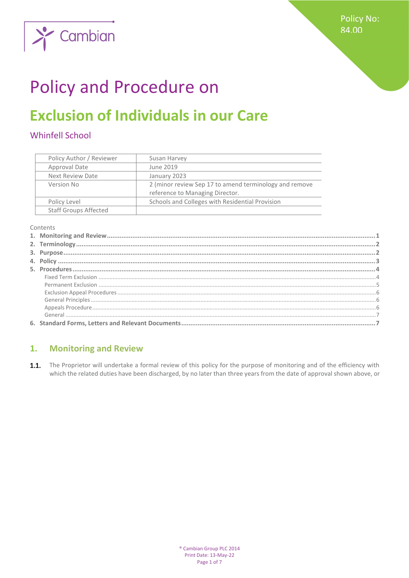

# **Policy and Procedure on**

## **Exclusion of Individuals in our Care**

## **Whinfell School**

| Policy Author / Reviewer     | Susan Harvey                                           |
|------------------------------|--------------------------------------------------------|
| Approval Date                | June 2019                                              |
| Next Review Date             | January 2023                                           |
| Version No                   | 2 (minor review Sep 17 to amend terminology and remove |
|                              | reference to Managing Director.                        |
| Policy Level                 | Schools and Colleges with Residential Provision        |
| <b>Staff Groups Affected</b> |                                                        |

Contents

#### <span id="page-0-0"></span>**Monitoring and Review**  $1.$

1.1. The Proprietor will undertake a formal review of this policy for the purpose of monitoring and of the efficiency with which the related duties have been discharged, by no later than three years from the date of approval shown above, or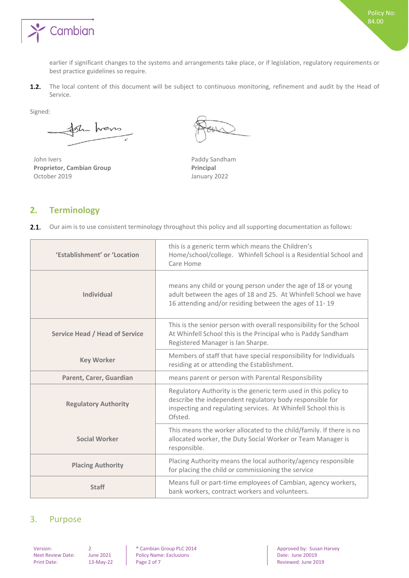

earlier if significant changes to the systems and arrangements take place, or if legislation, regulatory requirements or best practice guidelines so require.

The local content of this document will be subject to continuous monitoring, refinement and audit by the Head of  $1.2.$ Service.

Signed:

sh hers

John Ivers Paddy Sandham **Proprietor, Cambian Group Principal**<br> **Principal October 2019 Principal Principal Principal Principal Principal Principal Principal Principal Principal Principal Principal Principal Principal** 

January 2022

## <span id="page-1-0"></span>**2. Terminology**

|  |  |  |  |  | 2.1. Our aim is to use consistent terminology throughout this policy and all supporting documentation as follows: |  |
|--|--|--|--|--|-------------------------------------------------------------------------------------------------------------------|--|
|--|--|--|--|--|-------------------------------------------------------------------------------------------------------------------|--|

| 'Establishment' or 'Location          | this is a generic term which means the Children's<br>Home/school/college. Whinfell School is a Residential School and<br>Care Home                                                                       |
|---------------------------------------|----------------------------------------------------------------------------------------------------------------------------------------------------------------------------------------------------------|
| <b>Individual</b>                     | means any child or young person under the age of 18 or young<br>adult between the ages of 18 and 25. At Whinfell School we have<br>16 attending and/or residing between the ages of 11-19                |
| <b>Service Head / Head of Service</b> | This is the senior person with overall responsibility for the School<br>At Whinfell School this is the Principal who is Paddy Sandham<br>Registered Manager is Ian Sharpe.                               |
| <b>Key Worker</b>                     | Members of staff that have special responsibility for Individuals<br>residing at or attending the Establishment.                                                                                         |
| Parent, Carer, Guardian               | means parent or person with Parental Responsibility                                                                                                                                                      |
| <b>Regulatory Authority</b>           | Regulatory Authority is the generic term used in this policy to<br>describe the independent regulatory body responsible for<br>inspecting and regulating services. At Whinfell School this is<br>Ofsted. |
| <b>Social Worker</b>                  | This means the worker allocated to the child/family. If there is no<br>allocated worker, the Duty Social Worker or Team Manager is<br>responsible.                                                       |
| <b>Placing Authority</b>              | Placing Authority means the local authority/agency responsible<br>for placing the child or commissioning the service                                                                                     |
| <b>Staff</b>                          | Means full or part-time employees of Cambian, agency workers,<br>bank workers, contract workers and volunteers.                                                                                          |

## <span id="page-1-1"></span>3. Purpose

Policy Name: Exclusions<br>Page 2 of 7

Version: 2 
2 
<br>
Policy Name: Exclusions
Publicy Name: Exclusions
Publicy Name: Exclusions
Policy Name: Exclusions
Next Review Date: June 2021

20019

20019 Print Date: 13-May-22 Page 2 of 7 Reviewed: June 2019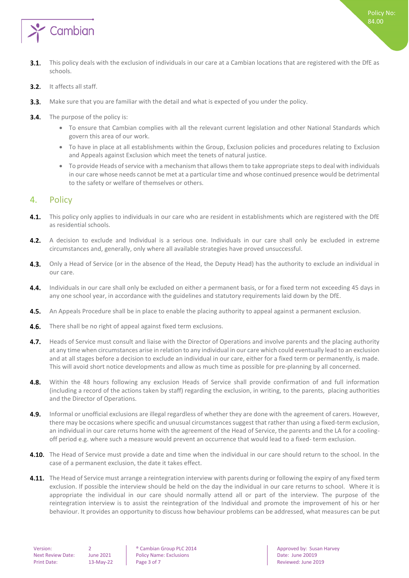

- $3.1.$ This policy deals with the exclusion of individuals in our care at a Cambian locations that are registered with the DfE as schools.
- $3.2.$ It affects all staff.
- $3.3.$ Make sure that you are familiar with the detail and what is expected of you under the policy.
- $3.4.$ The purpose of the policy is:
	- To ensure that Cambian complies with all the relevant current legislation and other National Standards which govern this area of our work.
	- To have in place at all establishments within the Group, Exclusion policies and procedures relating to Exclusion and Appeals against Exclusion which meet the tenets of natural justice.
	- To provide Heads of service with a mechanism that allows them to take appropriate steps to deal with individuals in our care whose needs cannot be met at a particular time and whose continued presence would be detrimental to the safety or welfare of themselves or others.

## <span id="page-2-0"></span>4. Policy

- 4.1. This policy only applies to individuals in our care who are resident in establishments which are registered with the DfE as residential schools.
- 4.2. A decision to exclude and Individual is a serious one. Individuals in our care shall only be excluded in extreme circumstances and, generally, only where all available strategies have proved unsuccessful.
- 4.3. Only a Head of Service (or in the absence of the Head, the Deputy Head) has the authority to exclude an individual in our care.
- 4.4. Individuals in our care shall only be excluded on either a permanent basis, or for a fixed term not exceeding 45 days in any one school year, in accordance with the guidelines and statutory requirements laid down by the DfE.
- 4.5. An Appeals Procedure shall be in place to enable the placing authority to appeal against a permanent exclusion.
- 4.6. There shall be no right of appeal against fixed term exclusions.
- 4.7. Heads of Service must consult and liaise with the Director of Operations and involve parents and the placing authority at any time when circumstances arise in relation to any individual in our care which could eventually lead to an exclusion and at all stages before a decision to exclude an individual in our care, either for a fixed term or permanently, is made. This will avoid short notice developments and allow as much time as possible for pre-planning by all concerned.
- $4.8.$ Within the 48 hours following any exclusion Heads of Service shall provide confirmation of and full information (including a record of the actions taken by staff) regarding the exclusion, in writing, to the parents, placing authorities and the Director of Operations.
- $4.9.$ Informal or unofficial exclusions are illegal regardless of whether they are done with the agreement of carers. However, there may be occasions where specific and unusual circumstances suggest that rather than using a fixed-term exclusion, an individual in our care returns home with the agreement of the Head of Service, the parents and the LA for a coolingoff period e.g. where such a measure would prevent an occurrence that would lead to a fixed- term exclusion.
- 4.10. The Head of Service must provide a date and time when the individual in our care should return to the school. In the case of a permanent exclusion, the date it takes effect.
- **4.11.** The Head of Service must arrange a reintegration interview with parents during or following the expiry of any fixed term exclusion. If possible the interview should be held on the day the individual in our care returns to school. Where it is appropriate the individual in our care should normally attend all or part of the interview. The purpose of the reintegration interview is to assist the reintegration of the Individual and promote the improvement of his or her behaviour. It provides an opportunity to discuss how behaviour problems can be addressed, what measures can be put

Next Review Date: June 2021 | Policy Name: Exclusions | Date: June 20019 Print Date: 13-May-22 Page 3 of 7 Reviewed: June 2019

Version: 2 2 | ® Cambian Group PLC 2014 | Approved by: Susan Harvey<br>
Next Review Date: June 2021 | Policy Name: Exclusions | Date: June 20019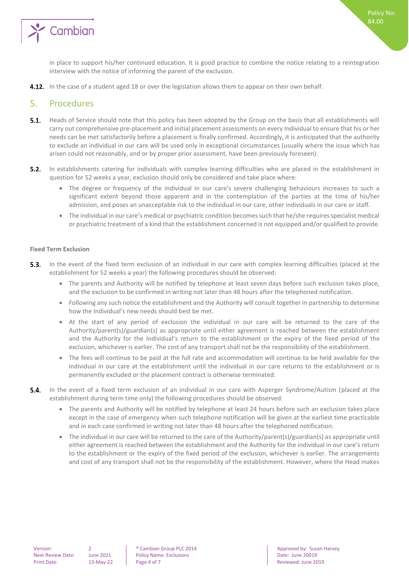

in place to support his/her continued education. It is good practice to combine the notice relating to a reintegration interview with the notice of informing the parent of the exclusion.

<span id="page-3-0"></span>**4.12.** In the case of a student aged 18 or over the legislation allows them to appear on their own behalf.

### 5. Procedures

- **5.1.** Heads of Service should note that this policy has been adopted by the Group on the basis that all establishments will carry out comprehensive pre-placement and initial placement assessments on every Individual to ensure that his or her needs can be met satisfactorily before a placement is finally confirmed. Accordingly, it is anticipated that the authority to exclude an individual in our care will be used only in exceptional circumstances (usually where the issue which has arisen could not reasonably, and or by proper prior assessment, have been previously foreseen).
- $5.2.$ In establishments catering for individuals with complex learning difficulties who are placed in the establishment in question for 52 weeks a year, exclusion should only be considered and take place where:
	- The degree or frequency of the individual in our care's severe challenging behaviours increases to such a significant extent beyond those apparent and in the contemplation of the parties at the time of his/her admission, and poses an unacceptable risk to the individual in our care, other individuals in our care or staff.
	- The individual in our care's medical or psychiatric condition becomes such that he/she requires specialist medical or psychiatric treatment of a kind that the establishment concerned is not equipped and/or qualified to provide.

#### <span id="page-3-1"></span>**Fixed Term Exclusion**

- **5.3.** In the event of the fixed term exclusion of an individual in our care with complex learning difficulties (placed at the establishment for 52 weeks a year) the following procedures should be observed:
	- The parents and Authority will be notified by telephone at least seven days before such exclusion takes place, and the exclusion to be confirmed in writing not later than 48 hours after the telephoned notification.
	- Following any such notice the establishment and the Authority will consult together in partnership to determine how the Individual's new needs should best be met.
	- At the start of any period of exclusion the individual in our care will be returned to the care of the Authority/parent(s)/guardian(s) as appropriate until either agreement is reached between the establishment and the Authority for the Individual's return to the establishment or the expiry of the fixed period of the exclusion, whichever is earlier. The cost of any transport shall not be the responsibility of the establishment.
	- The fees will continue to be paid at the full rate and accommodation will continue to be held available for the individual in our care at the establishment until the individual in our care returns to the establishment or is permanently excluded or the placement contract is otherwise terminated.
- **5.4.** In the event of a fixed term exclusion of an individual in our care with Asperger Syndrome/Autism (placed at the establishment during term time only) the following procedures should be observed:
	- The parents and Authority will be notified by telephone at least 24 hours before such an exclusion takes place except in the case of emergency when such telephone notification will be given at the earliest time practicable and in each case confirmed in writing not later than 48 hours after the telephoned notification.
	- The individual in our care will be returned to the care of the Authority/parent(s)/guardian(s) as appropriate until either agreement is reached between the establishment and the Authority for the individual in our care's return to the establishment or the expiry of the fixed period of the exclusion, whichever is earlier. The arrangements and cost of any transport shall not be the responsibility of the establishment. However, where the Head makes

Next Review Date: June 2021 | Policy Name: Exclusions | Date: June 20019 Print Date: 13-May-22 Page 4 of 7 Reviewed: June 2019

Version: 2 2 **8 Cambian Group PLC 2014 Approved by: Susan Harvey PLC 2014** Approved by: Susan Harvey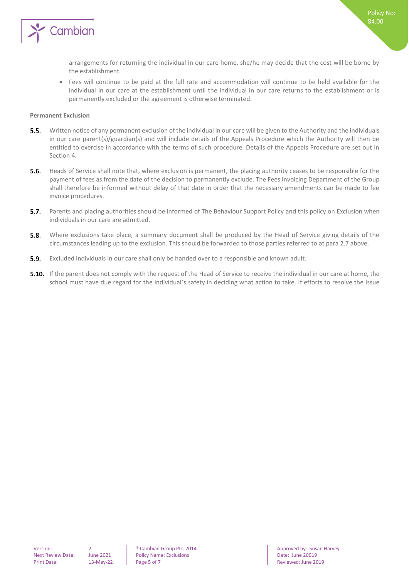

arrangements for returning the individual in our care home, she/he may decide that the cost will be borne by the establishment.

• Fees will continue to be paid at the full rate and accommodation will continue to be held available for the individual in our care at the establishment until the individual in our care returns to the establishment or is permanently excluded or the agreement is otherwise terminated.

#### <span id="page-4-0"></span>**Permanent Exclusion**

- $5.5.$ Written notice of any permanent exclusion of the individual in our care will be given to the Authority and the individuals in our care parent(s)/guardian(s) and will include details of the Appeals Procedure which the Authority will then be entitled to exercise in accordance with the terms of such procedure. Details of the Appeals Procedure are set out in Section 4.
- Heads of Service shall note that, where exclusion is permanent, the placing authority ceases to be responsible for the  $5.6.$ payment of fees as from the date of the decision to permanently exclude. The Fees Invoicing Department of the Group shall therefore be informed without delay of that date in order that the necessary amendments can be made to fee invoice procedures.
- $5.7.$ Parents and placing authorities should be informed of The Behaviour Support Policy and this policy on Exclusion when individuals in our care are admitted.
- **5.8.** Where exclusions take place, a summary document shall be produced by the Head of Service giving details of the circumstances leading up to the exclusion. This should be forwarded to those parties referred to at para 2.7 above.
- **5.9.** Excluded individuals in our care shall only be handed over to a responsible and known adult.
- **5.10.** If the parent does not comply with the request of the Head of Service to receive the individual in our care at home, the school must have due regard for the individual's safety in deciding what action to take. If efforts to resolve the issue

Next Review Date: June 2021 | Policy Name: Exclusions | Date: June 20019 Print Date: 13-May-22 Page 5 of 7 Reviewed: June 2019

Version: 2 ® Cambian Group PLC 2014 Approved by: Susan Harvey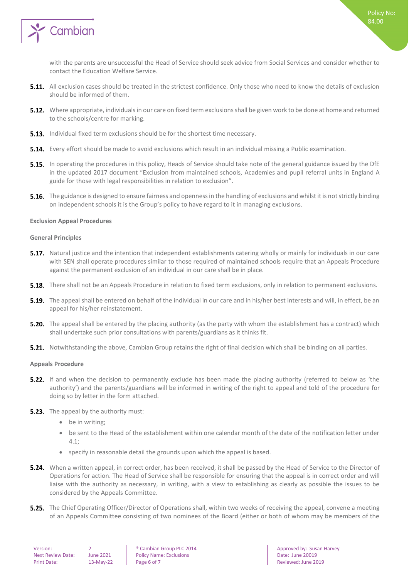

with the parents are unsuccessful the Head of Service should seek advice from Social Services and consider whether to contact the Education Welfare Service.

- **5.11.** All exclusion cases should be treated in the strictest confidence. Only those who need to know the details of exclusion should be informed of them.
- **5.12.** Where appropriate, individuals in our care on fixed term exclusions shall be given work to be done at home and returned to the schools/centre for marking.
- **5.13.** Individual fixed term exclusions should be for the shortest time necessary.
- **5.14.** Every effort should be made to avoid exclusions which result in an individual missing a Public examination.
- **5.15.** In operating the procedures in this policy, Heads of Service should take note of the general guidance issued by the DfE in the updated 2017 document "Exclusion from maintained schools, Academies and pupil referral units in England A guide for those with legal responsibilities in relation to exclusion".
- **5.16.** The guidance is designed to ensure fairness and openness in the handling of exclusions and whilst it is not strictly binding on independent schools it is the Group's policy to have regard to it in managing exclusions.

#### <span id="page-5-0"></span>**Exclusion Appeal Procedures**

#### <span id="page-5-1"></span>**General Principles**

- 5.17. Natural justice and the intention that independent establishments catering wholly or mainly for individuals in our care with SEN shall operate procedures similar to those required of maintained schools require that an Appeals Procedure against the permanent exclusion of an individual in our care shall be in place.
- **5.18.** There shall not be an Appeals Procedure in relation to fixed term exclusions, only in relation to permanent exclusions.
- **5.19.** The appeal shall be entered on behalf of the individual in our care and in his/her best interests and will, in effect, be an appeal for his/her reinstatement.
- **5.20.** The appeal shall be entered by the placing authority (as the party with whom the establishment has a contract) which shall undertake such prior consultations with parents/guardians as it thinks fit.
- <span id="page-5-2"></span>**5.21.** Notwithstanding the above, Cambian Group retains the right of final decision which shall be binding on all parties.

#### **Appeals Procedure**

- **5.22.** If and when the decision to permanently exclude has been made the placing authority (referred to below as 'the authority') and the parents/guardians will be informed in writing of the right to appeal and told of the procedure for doing so by letter in the form attached.
- **5.23.** The appeal by the authority must:
	- be in writing;
	- be sent to the Head of the establishment within one calendar month of the date of the notification letter under  $4.1$
	- specify in reasonable detail the grounds upon which the appeal is based.
- **5.24.** When a written appeal, in correct order, has been received, it shall be passed by the Head of Service to the Director of Operations for action. The Head of Service shall be responsible for ensuring that the appeal is in correct order and will liaise with the authority as necessary, in writing, with a view to establishing as clearly as possible the issues to be considered by the Appeals Committee.
- **5.25.** The Chief Operating Officer/Director of Operations shall, within two weeks of receiving the appeal, convene a meeting of an Appeals Committee consisting of two nominees of the Board (either or both of whom may be members of the

| Version:          |  |  |
|-------------------|--|--|
| Next Review Date: |  |  |
| Print Date:       |  |  |

June 2021 Policy Name: Exclusions Date: June 20019 Print Date: 13-May-22 Page 6 of 7 Reviewed: June 2019

2 **8 Cambian Group PLC 2014 Approved by: Susan Harvey Cambian Group PLC 2014** Approved by: Susan Harvey